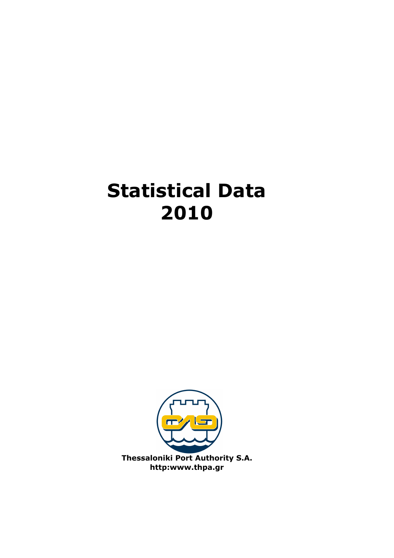# Statistical Data 2010

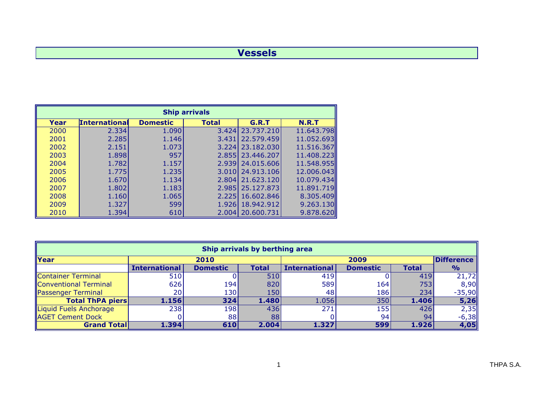#### Vessels

| <b>Ship arrivals</b> |                      |                 |              |            |              |  |  |  |  |
|----------------------|----------------------|-----------------|--------------|------------|--------------|--|--|--|--|
| Year                 | <b>International</b> | <b>Domestic</b> | <b>Total</b> | G.R.T      | <b>N.R.T</b> |  |  |  |  |
| 2000                 | 2.334                | 1.090           | 3.424        | 23,737,210 | 11.643.798   |  |  |  |  |
| 2001                 | 2.285                | 1.146           | 3.431        | 22.579.459 | 11.052.693   |  |  |  |  |
| 2002                 | 2.151                | 1.073           | 3.224        | 23,182,030 | 11.516.367   |  |  |  |  |
| 2003                 | 1.898                | 957             | 2.855        | 23.446.207 | 11.408.223   |  |  |  |  |
| 2004                 | 1.782                | 1.157           | 2.939        | 24.015.606 | 11.548.955   |  |  |  |  |
| 2005                 | 1.775                | 1.235           | 3.010        | 24,913,106 | 12.006.043   |  |  |  |  |
| 2006                 | 1.670                | 1.134           | 2.804        | 21,623,120 | 10.079.434   |  |  |  |  |
| 2007                 | 1.802                | 1.183           | 2.985        | 25,127,873 | 11.891.719   |  |  |  |  |
| 2008                 | 1.160                | 1.065           | 2.225        | 16.602.846 | 8.305.409    |  |  |  |  |
| 2009                 | 1.327                | 599             | 1.926        | 18,942,912 | 9.263.130    |  |  |  |  |
| 2010                 | 1.394                | 610             | 2.004        | 20.600.731 | 9.878.620    |  |  |  |  |

| Ship arrivals by berthing area |                      |                 |       |                      |                 |              |                   |  |  |  |
|--------------------------------|----------------------|-----------------|-------|----------------------|-----------------|--------------|-------------------|--|--|--|
| <b>Year</b>                    |                      | 2010            |       |                      | 2009            |              | <b>Difference</b> |  |  |  |
|                                | <b>International</b> | <b>Domestic</b> | Total | <b>International</b> | <b>Domestic</b> | <b>Total</b> | $\frac{1}{2}$     |  |  |  |
| Container Terminal             | 510                  |                 | 510   | 419                  |                 | 419          | 21,72             |  |  |  |
| Conventional Terminal          | 626                  | 194             | 820   | 589                  | 164             | 753          | 8,90              |  |  |  |
| Passenger Terminal             | 20                   | 130             | 150   | 48                   | 186             | 234          | $-35,90$          |  |  |  |
| <b>Total ThPA piers</b>        | 1.156                | $324$           | 1.480 | 1.056                | 350             | 1.406        | 5,26              |  |  |  |
| Liquid Fuels Anchorage         | 238                  | 198             | 436   | 271                  | <b>155</b>      | 426          | 2,35              |  |  |  |
| <b>AGET Cement Dock</b>        |                      | 88              | 88    |                      | 94I             | 94           | $-6,38$           |  |  |  |
| <b>Grand Totall</b>            | 1.3941               | 610             | 2.004 | 1.327                | 599             | 1.926        | 4,05              |  |  |  |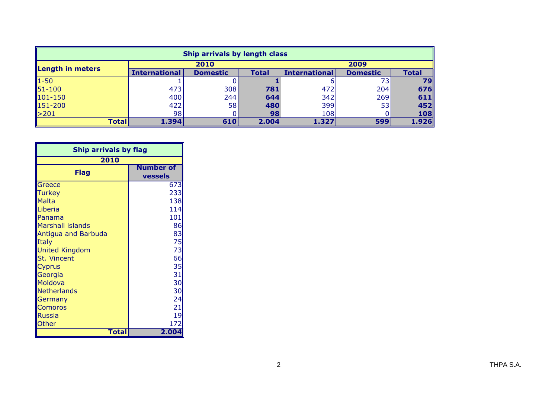| Ship arrivals by length class |                      |                 |              |                      |                 |       |  |  |  |
|-------------------------------|----------------------|-----------------|--------------|----------------------|-----------------|-------|--|--|--|
| Length in meters              |                      | 2010            |              |                      | 2009            |       |  |  |  |
|                               | <b>International</b> | <b>Domestic</b> | <b>Total</b> | <b>International</b> | <b>Domestic</b> | Total |  |  |  |
| $1 - 50$                      |                      |                 |              |                      | $7\bar{3}h$     | 79    |  |  |  |
| $151 - 100$                   | 473                  | 308             | 781          | 472                  | 204             | 676   |  |  |  |
| $101 - 150$                   | 400                  | 244             | 644          | 342                  | 269             | 611   |  |  |  |
| 151-200                       | 422                  | <b>58</b>       | 480          | 399                  | 53I             | 452   |  |  |  |
| $\geq 201$                    | 98 <sub>1</sub>      |                 | 98           | 108                  |                 | 108   |  |  |  |
| <b>Total</b>                  | 1.394                | 610             | 2.004        | 1.327                | 599             | 1.926 |  |  |  |

| <b>Ship arrivals by flag</b> |                  |  |  |  |  |  |  |
|------------------------------|------------------|--|--|--|--|--|--|
| 2010                         |                  |  |  |  |  |  |  |
| <b>Flag</b>                  | <b>Number of</b> |  |  |  |  |  |  |
|                              | vessels          |  |  |  |  |  |  |
| Greece                       | 673              |  |  |  |  |  |  |
| <b>Turkey</b>                | 233              |  |  |  |  |  |  |
| <b>Malta</b>                 | 138              |  |  |  |  |  |  |
| Liberia                      | 114              |  |  |  |  |  |  |
| Panama                       | 101              |  |  |  |  |  |  |
| <b>Marshall islands</b>      | 86               |  |  |  |  |  |  |
| Antigua and Barbuda          | 83               |  |  |  |  |  |  |
| Italy                        | 75               |  |  |  |  |  |  |
| <b>United Kingdom</b>        | 73               |  |  |  |  |  |  |
| <b>St. Vincent</b>           | 66               |  |  |  |  |  |  |
| <b>Cyprus</b>                | 35               |  |  |  |  |  |  |
| Georgia                      | 31               |  |  |  |  |  |  |
| Moldova                      | 30               |  |  |  |  |  |  |
| Netherlands                  | 30               |  |  |  |  |  |  |
| Germany                      | 24               |  |  |  |  |  |  |
| <b>Comoros</b>               | 21               |  |  |  |  |  |  |
| <b>Russia</b>                | 19               |  |  |  |  |  |  |
| Other                        | 172              |  |  |  |  |  |  |
| Total                        | 2.004            |  |  |  |  |  |  |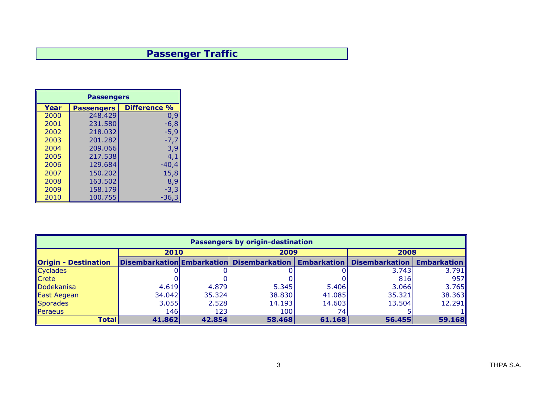## Passenger Traffic

| <b>Passengers</b> |                   |                     |  |  |  |  |  |  |
|-------------------|-------------------|---------------------|--|--|--|--|--|--|
| Year              | <b>Passengers</b> | <b>Difference %</b> |  |  |  |  |  |  |
| 2000              | 248.429           | 0,9                 |  |  |  |  |  |  |
| 2001              | 231.580           | $-6,8$              |  |  |  |  |  |  |
| 2002              | 218.032           | -5,9                |  |  |  |  |  |  |
| 2003              | 201.282           | -7,7                |  |  |  |  |  |  |
| 2004              | 209.066           | 3,9                 |  |  |  |  |  |  |
| 2005              | 217.538           | 4,1                 |  |  |  |  |  |  |
| 2006              | 129.684           | -40,4               |  |  |  |  |  |  |
| 2007              | 150.202           | 15,8                |  |  |  |  |  |  |
| 2008              | 163.502           | 8,9                 |  |  |  |  |  |  |
| 2009              | 158.179           | -3,3                |  |  |  |  |  |  |
| 2010              | 100.755           | -36,                |  |  |  |  |  |  |

| <b>Passengers by origin-destination</b> |        |        |                                                         |        |                       |                    |  |  |  |  |
|-----------------------------------------|--------|--------|---------------------------------------------------------|--------|-----------------------|--------------------|--|--|--|--|
|                                         | 2010   |        | 2009                                                    |        | 2008                  |                    |  |  |  |  |
| <b>Origin - Destination</b>             |        |        | Disembarkation Embarkation Disembarkation   Embarkation |        | <b>Disembarkation</b> | <b>Embarkation</b> |  |  |  |  |
| <b>Cyclades</b>                         |        |        |                                                         |        | 3.743                 | 3.791              |  |  |  |  |
| <b>Crete</b>                            |        |        |                                                         |        | 816                   | 957                |  |  |  |  |
| Dodekanisa                              | 4.619  | 4.879  | 5.345                                                   | 5.406  | 3.066                 | 3.765              |  |  |  |  |
| East Aegean                             | 34.042 | 35.324 | 38.830                                                  | 41.085 | 35.321                | 38.363             |  |  |  |  |
| Sporades                                | 3.055  | 2.528  | 14.193                                                  | 14.603 | 13.504                | 12.291             |  |  |  |  |
| Peraeus                                 | 146    | 123    | 100                                                     | 74     |                       |                    |  |  |  |  |
| <b>Total</b>                            | 41.862 | 42.854 | 58.468                                                  | 61.168 | 56.455                | 59.168             |  |  |  |  |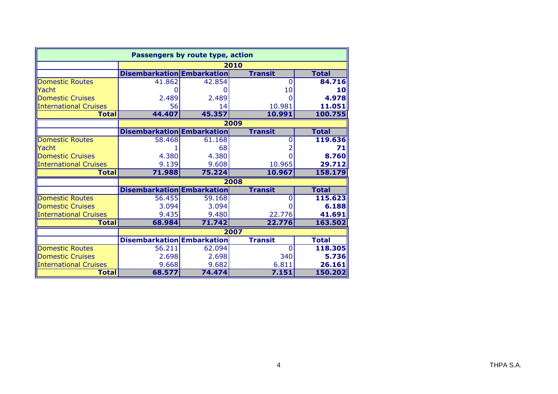| Passengers by route type, action |                                   |        |                |              |  |  |  |  |  |
|----------------------------------|-----------------------------------|--------|----------------|--------------|--|--|--|--|--|
|                                  |                                   | 2010   |                |              |  |  |  |  |  |
|                                  | <b>Disembarkation Embarkation</b> |        | <b>Transit</b> | <b>Total</b> |  |  |  |  |  |
| <b>Domestic Routes</b>           | 41.862                            | 42.854 | 0              | 84.716       |  |  |  |  |  |
| Yacht                            |                                   |        | 10             | 10           |  |  |  |  |  |
| Domestic Cruises                 | 2.489                             | 2.489  |                | 4.978        |  |  |  |  |  |
| <b>International Cruises</b>     | 56                                | 14     | 10.981         | 11.051       |  |  |  |  |  |
| <b>Total</b>                     | 44.407                            | 45.357 | 10.991         | 100.755      |  |  |  |  |  |
|                                  |                                   |        | 2009           |              |  |  |  |  |  |
|                                  | <b>Disembarkation Embarkation</b> |        | <b>Transit</b> | <b>Total</b> |  |  |  |  |  |
| <b>Domestic Routes</b>           | 58.468                            | 61.168 | 0              | 119.636      |  |  |  |  |  |
| Yacht                            |                                   | 68     |                | 71           |  |  |  |  |  |
| <b>Domestic Cruises</b>          | 4.380                             | 4.380  |                | 8.760        |  |  |  |  |  |
| <b>International Cruises</b>     | 9.139                             | 9.608  | 10.965         | 29.712       |  |  |  |  |  |
| <b>Total</b>                     | 71.988                            | 75.224 | 10.967         | 158.179      |  |  |  |  |  |
|                                  |                                   |        | 2008           |              |  |  |  |  |  |
|                                  | <b>Disembarkation Embarkation</b> |        | <b>Transit</b> | <b>Total</b> |  |  |  |  |  |
| <b>Domestic Routes</b>           | 56.455                            | 59.168 | 0              | 115.623      |  |  |  |  |  |
| Domestic Cruises                 | 3.094                             | 3.094  |                | 6.188        |  |  |  |  |  |
| <b>International Cruises</b>     | 9.435                             | 9.480  | 22.776         | 41.691       |  |  |  |  |  |
| <b>Total</b>                     | 68.984                            | 71.742 | 22.776         | 163.502      |  |  |  |  |  |
|                                  |                                   |        | 2007           |              |  |  |  |  |  |
|                                  | <b>Disembarkation Embarkation</b> |        | <b>Transit</b> | <b>Total</b> |  |  |  |  |  |
| <b>Domestic Routes</b>           | 56.211                            | 62.094 | $\overline{0}$ | 118,305      |  |  |  |  |  |
| Domestic Cruises                 | 2.698                             | 2.698  | 340            | 5.736        |  |  |  |  |  |
| <b>International Cruises</b>     | 9.668                             | 9.682  | 6.811          | 26.161       |  |  |  |  |  |
| <b>Total</b>                     | 68.577                            | 74.474 | 7.151          | 150.202      |  |  |  |  |  |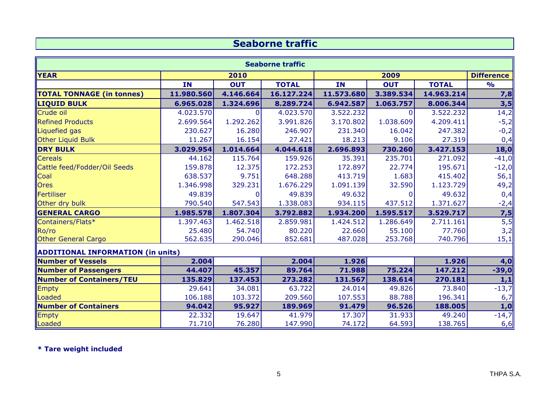#### Seaborne traffic

| <b>Seaborne traffic</b>                  |            |            |              |            |            |              |                   |
|------------------------------------------|------------|------------|--------------|------------|------------|--------------|-------------------|
| <b>YEAR</b>                              |            | 2010       |              |            | 2009       |              | <b>Difference</b> |
|                                          | <b>IN</b>  | <b>OUT</b> | <b>TOTAL</b> | <b>IN</b>  | <b>OUT</b> | <b>TOTAL</b> | $\frac{1}{2}$     |
| <b>TOTAL TONNAGE (in tonnes)</b>         | 11.980.560 | 4.146.664  | 16.127.224   | 11.573.680 | 3.389.534  | 14.963.214   | 7,8               |
| <b>LIQUID BULK</b>                       | 6.965.028  | 1.324.696  | 8.289.724    | 6.942.587  | 1.063.757  | 8.006.344    | 3,5               |
| Crude oil                                | 4.023.570  | O          | 4.023.570    | 3.522.232  | $\Omega$   | 3.522.232    | 14,2              |
| <b>Refined Products</b>                  | 2.699.564  | 1.292.262  | 3.991.826    | 3.170.802  | 1.038.609  | 4.209.411    | $-5,2$            |
| Liquefied gas                            | 230.627    | 16.280     | 246.907      | 231.340    | 16.042     | 247.382      | $-0,2$            |
| Other Liquid Bulk                        | 11.267     | 16.154     | 27.421       | 18.213     | 9.106      | 27.319       | 0,4               |
| <b>DRY BULK</b>                          | 3.029.954  | 1.014.664  | 4.044.618    | 2.696.893  | 730.260    | 3.427.153    | 18,0              |
| <b>Cereals</b>                           | 44.162     | 115.764    | 159.926      | 35.391     | 235.701    | 271.092      | $-41,0$           |
| Cattle feed/Fodder/Oil Seeds             | 159.878    | 12.375     | 172.253      | 172.897    | 22.774     | 195.671      | $-12,0$           |
| Coal                                     | 638.537    | 9.751      | 648.288      | 413.719    | 1.683      | 415.402      | 56,1              |
| <b>Ores</b>                              | 1.346.998  | 329.231    | 1.676.229    | 1.091.139  | 32.590     | 1.123.729    | 49,2              |
| Fertiliser                               | 49.839     |            | 49.839       | 49.632     | O          | 49.632       | 0,4               |
| Other dry bulk                           | 790.540    | 547.543    | 1.338.083    | 934.115    | 437.512    | 1.371.627    | $-2,4$            |
| <b>GENERAL CARGO</b>                     | 1.985.578  | 1.807.304  | 3.792.882    | 1.934.200  | 1.595.517  | 3.529.717    | 7,5               |
| Containers/Flats*                        | 1.397.463  | 1.462.518  | 2.859.981    | 1.424.512  | 1.286.649  | 2.711.161    | 5,5               |
| RO/ro                                    | 25.480     | 54.740     | 80.220       | 22.660     | 55.100     | 77.760       | 3,2               |
| <b>Other General Cargo</b>               | 562.635    | 290.046    | 852.681      | 487.028    | 253.768    | 740.796      | 15,1              |
| <b>ADDITIONAL INFORMATION (in units)</b> |            |            |              |            |            |              |                   |
| <b>Number of Vessels</b>                 | 2.004      |            | 2.004        | 1.926      |            | 1.926        | 4,0               |
| Number of Passengers                     | 44.407     | 45.357     | 89.764       | 71.988     | 75.224     | 147.212      | $-39,0$           |
| Number of Containers/TEU                 | 135.829    | 137.453    | 273.282      | 131.567    | 138.614    | 270.181      | 1, 1              |
| Empty                                    | 29.641     | 34.081     | 63.722       | 24.014     | 49.826     | 73.840       | $-13,7$           |
| Loaded                                   | 106.188    | 103.372    | 209.560      | 107.553    | 88.788     | 196.341      | 6,7               |
| <b>Number of Containers</b>              | 94.042     | 95.927     | 189.969      | 91.479     | 96.526     | 188.005      | 1,0               |
| Empty                                    | 22.332     | 19.647     | 41.979       | 17.307     | 31.933     | 49.240       | $-14,7$           |
| Loaded                                   | 71.710     | 76.280     | 147.990      | 74.172     | 64.593     | 138.765      | 6,6               |

\* Tare weight included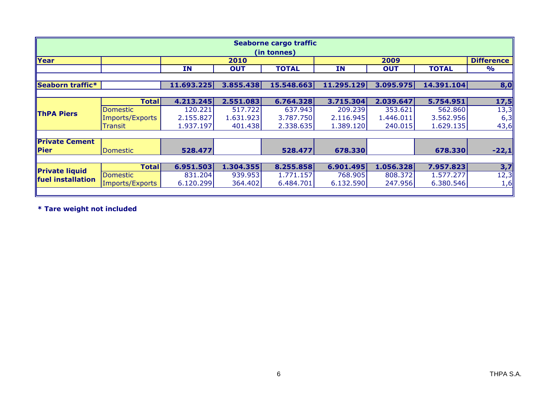| Seaborne cargo traffic<br>(in tonnes) |                 |            |            |              |            |            |              |                   |
|---------------------------------------|-----------------|------------|------------|--------------|------------|------------|--------------|-------------------|
| Year                                  |                 |            | 2010       |              |            | 2009       |              | <b>Difference</b> |
|                                       |                 | IN         | <b>OUT</b> | <b>TOTAL</b> | <b>IN</b>  | <b>OUT</b> | <b>TOTAL</b> | $\frac{1}{2}$     |
| Seaborn traffic*                      |                 | 11.693.225 | 3.855.438  | 15.548.663   | 11.295.129 | 3.095.975  | 14.391.104   | 8,0               |
|                                       | <b>Total</b>    | 4.213.245  | 2.551.083  | 6.764.328    | 3.715.304  | 2.039.647  | 5.754.951    | 17,5              |
|                                       | <b>Domestic</b> | 120.221    | 517.722    | 637.943      | 209.239    | 353.621    | 562.860      | 13,3              |
| <b>ThPA Piers</b>                     | Imports/Exports | 2.155.827  | 1.631.923  | 3.787.750    | 2.116.945  | 1.446.011  | 3.562.956    | 6,3               |
|                                       | <b>Transit</b>  | 1.937.197  | 401.438    | 2.338.635    | 1.389.120  | 240.015    | 1.629.135    | 43,6              |
| <b>Private Cement</b>                 |                 |            |            |              |            |            |              |                   |
| $\ $ Pier                             | Domestic        | 528.477    |            | 528.477      | 678.330    |            | 678.330      | $-22,1$           |
|                                       |                 |            |            |              |            |            |              |                   |
| <b>Private liquid</b>                 | <b>Total</b>    | 6.951.503  | 1.304.355  | 8.255.858    | 6.901.495  | 1.056.328  | 7.957.823    | 3,7               |
| fuel installation                     | Domestic        | 831.204    | 939.953    | 1.771.157    | 768.905    | 808.372    | 1.577.277    | 12,3              |
|                                       | Imports/Exports | 6.120.299  | 364.402    | 6.484.701    | 6.132.590  | 247.956    | 6.380.546    | 1,6               |
|                                       |                 |            |            |              |            |            |              |                   |

\* Tare weight not included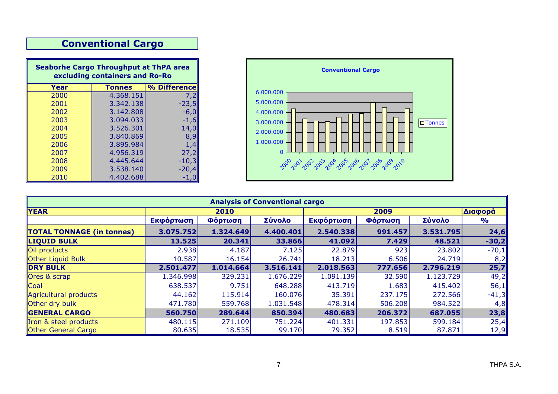### Conventional Cargo

| <b>Seaborhe Cargo Throughput at ThPA area</b><br>excluding containers and Ro-Ro |               |              |  |  |  |  |  |
|---------------------------------------------------------------------------------|---------------|--------------|--|--|--|--|--|
| Year                                                                            | <b>Tonnes</b> | % Difference |  |  |  |  |  |
| 2000                                                                            | 4.368.151     | 7.2          |  |  |  |  |  |
| 2001                                                                            | 3.342.138     | $-23,5$      |  |  |  |  |  |
| 2002                                                                            | 3.142.808     | -6,0         |  |  |  |  |  |
| 2003                                                                            | 3.094.033     | $-1,6$       |  |  |  |  |  |
| 2004                                                                            | 3.526.301     | 14,0         |  |  |  |  |  |
| 2005                                                                            | 3.840.869     | 8,9          |  |  |  |  |  |
| 2006                                                                            | 3.895.984     | 1,4          |  |  |  |  |  |
| 2007                                                                            | 4.956.319     | 27,2         |  |  |  |  |  |
| 2008                                                                            | 4.445.644     | $-10,3$      |  |  |  |  |  |
| 2009                                                                            | 3.538.140     | -20,4        |  |  |  |  |  |
| 2010                                                                            | 4.402.688     |              |  |  |  |  |  |



| <b>Analysis of Conventional cargo</b> |           |           |           |           |                 |           |               |  |  |
|---------------------------------------|-----------|-----------|-----------|-----------|-----------------|-----------|---------------|--|--|
| <b>YEAR</b>                           |           | 2010      |           |           | 2009            |           | Διαφορά       |  |  |
|                                       | Εκφόρτωση | Φόρτωση   | Σύνολο    | Εκφόρτωση | Φόρτω <u>ση</u> | Σύνολο    | $\frac{1}{2}$ |  |  |
| <b>TOTAL TONNAGE (in tonnes)</b>      | 3.075.752 | 1.324.649 | 4.400.401 | 2.540.338 | 991.457         | 3.531.795 | 24,6          |  |  |
| <b>LIQUID BULK</b>                    | 13.525    | 20.341    | 33.866    | 41.092    | 7.429           | 48.521    | $-30,2$       |  |  |
| Oil products                          | 2.938     | 4.187     | 7.125     | 22.879    | 923             | 23.802    | $-70,1$       |  |  |
| <b>Other Liquid Bulk</b>              | 10.587    | 16.154    | 26.741    | 18.213    | 6.506           | 24.719    | 8,2           |  |  |
| <b>DRY BULK</b>                       | 2.501.477 | 1.014.664 | 3.516.141 | 2.018.563 | 777.656         | 2.796.219 | 25,7          |  |  |
| Ores & scrap                          | 1.346.998 | 329.231   | 1.676.229 | 1.091.139 | 32.590          | 1.123.729 | 49,2          |  |  |
| Coal                                  | 638.537   | 9.751     | 648.288   | 413.719   | 1.683           | 415.402   | 56,1          |  |  |
| Agricultural products                 | 44.162    | 115.914   | 160.076   | 35.391    | 237.175         | 272.566   | $-41,3$       |  |  |
| <b>Other dry bulk</b>                 | 471.780   | 559.768   | 1.031.548 | 478.314   | 506.208         | 984.522   | 4,8           |  |  |
| <b>GENERAL CARGO</b>                  | 560.750   | 289.644   | 850.394   | 480.683   | 206.372         | 687.055   | 23,8          |  |  |
| Tron & steel products                 | 480.115   | 271.109   | 751.224   | 401.331   | 197.853         | 599.184   | 25,4          |  |  |
| <b>Other General Cargo</b>            | 80.635    | 18.535    | 99.170    | 79.352    | 8.519           | 87.871    | 12,9          |  |  |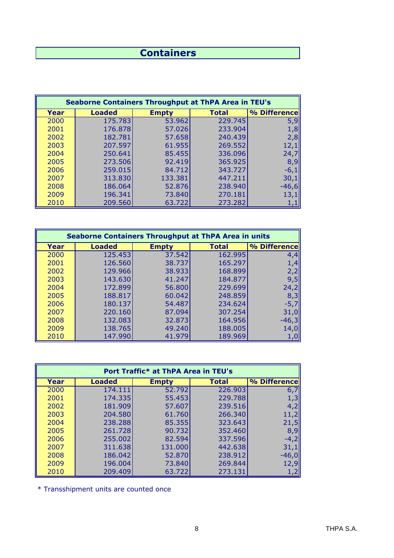#### **Containers**

| <b>Seaborne Containers Throughput at ThPA Area in TEU's</b> |               |              |              |              |  |  |  |  |  |
|-------------------------------------------------------------|---------------|--------------|--------------|--------------|--|--|--|--|--|
| Year                                                        | <b>Loaded</b> | <b>Empty</b> | <b>Total</b> | % Difference |  |  |  |  |  |
| 2000                                                        | 175.783       | 53.962       | 229.745      | 5,9          |  |  |  |  |  |
| 2001                                                        | 176.878       | 57.026       | 233.904      | 1,8          |  |  |  |  |  |
| 2002                                                        | 182.781       | 57.658       | 240.439      | 2,8          |  |  |  |  |  |
| 2003                                                        | 207.597       | 61.955       | 269.552      | 12,1         |  |  |  |  |  |
| 2004                                                        | 250.641       | 85.455       | 336.096      | 24,7         |  |  |  |  |  |
| 2005                                                        | 273.506       | 92.419       | 365.925      | 8,9          |  |  |  |  |  |
| 2006                                                        | 259.015       | 84.712       | 343.727      | $-6,1$       |  |  |  |  |  |
| 2007                                                        | 313.830       | 133.381      | 447.211      | 30,1         |  |  |  |  |  |
| 2008                                                        | 186.064       | 52.876       | 238.940      | $-46,6$      |  |  |  |  |  |
| 2009                                                        | 196.341       | 73.840       | 270.181      | 13,1         |  |  |  |  |  |
| 2010                                                        | 209.560       | 63.722       | 273.282      | 1,1          |  |  |  |  |  |

| <b>Seaborne Containers Throughput at ThPA Area in units</b> |               |              |              |              |  |  |  |  |  |  |
|-------------------------------------------------------------|---------------|--------------|--------------|--------------|--|--|--|--|--|--|
| Year                                                        | <b>Loaded</b> | <b>Empty</b> | <b>Total</b> | % Difference |  |  |  |  |  |  |
| 2000                                                        | 125.453       | 37.542       | 162.995      | 4,4          |  |  |  |  |  |  |
| 2001                                                        | 126.560       | 38.737       | 165.297      | 1,4          |  |  |  |  |  |  |
| 2002                                                        | 129,966       | 38.933       | 168.899      | 2,2          |  |  |  |  |  |  |
| 2003                                                        | 143.630       | 41.247       | 184.877      | 9,5          |  |  |  |  |  |  |
| 2004                                                        | 172.899       | 56.800       | 229.699      | 24,2         |  |  |  |  |  |  |
| 2005                                                        | 188.817       | 60.042       | 248.859      | 8,3          |  |  |  |  |  |  |
| 2006                                                        | 180.137       | 54.487       | 234.624      | $-5,7$       |  |  |  |  |  |  |
| 2007                                                        | 220.160       | 87.094       | 307.254      | 31,0         |  |  |  |  |  |  |
| 2008                                                        | 132.083       | 32.873       | 164.956      | $-46,3$      |  |  |  |  |  |  |
| 2009                                                        | 138.765       | 49.240       | 188.005      | 14,0         |  |  |  |  |  |  |
| 2010                                                        | 147.990       | 41.979       | 189.969      | 1,0          |  |  |  |  |  |  |

| Port Traffic* at ThPA Area in TEU's |               |              |              |              |  |  |  |  |  |  |
|-------------------------------------|---------------|--------------|--------------|--------------|--|--|--|--|--|--|
| Year                                | <b>Loaded</b> | <b>Empty</b> | <b>Total</b> | % Difference |  |  |  |  |  |  |
| 2000                                | 174.111       | 52.792       | 226.903      | 6,7          |  |  |  |  |  |  |
| 2001                                | 174.335       | 55.453       | 229.788      | 1,3          |  |  |  |  |  |  |
| 2002                                | 181.909       | 57.607       | 239.516      | 4,2          |  |  |  |  |  |  |
| 2003                                | 204.580       | 61.760       | 266.340      | 11,2         |  |  |  |  |  |  |
| 2004                                | 238.288       | 85.355       | 323.643      | 21,5         |  |  |  |  |  |  |
| 2005                                | 261,728       | 90.732       | 352.460      | 8,9          |  |  |  |  |  |  |
| 2006                                | 255.002       | 82.594       | 337.596      | $-4,2$       |  |  |  |  |  |  |
| 2007                                | 311.638       | 131.000      | 442.638      | 31,1         |  |  |  |  |  |  |
| 2008                                | 186.042       | 52.870       | 238.912      | $-46,0$      |  |  |  |  |  |  |
| 2009                                | 196.004       | 73.840       | 269.844      | 12,9         |  |  |  |  |  |  |
| 2010                                | 209.409       | 63.722       | 273.131      |              |  |  |  |  |  |  |

\* Transshipment units are counted once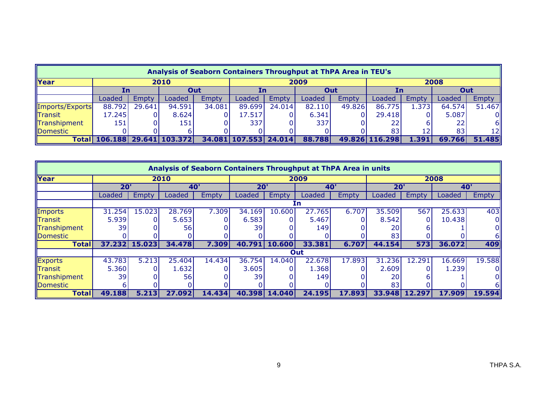| Analysis of Seaborn Containers Throughput at ThPA Area in TEU's |                        |        |        |        |                       |        |        |        |                |        |        |        |
|-----------------------------------------------------------------|------------------------|--------|--------|--------|-----------------------|--------|--------|--------|----------------|--------|--------|--------|
| <b>Year</b>                                                     | 2010                   |        |        | 2009   |                       |        |        | 2008   |                |        |        |        |
|                                                                 | In                     |        | Out    |        | In                    |        | Out    |        | In             |        | Out    |        |
|                                                                 | Loaded                 | Empty  | Loaded | Empty  | Loaded                | Empty  | Loaded | Empty  | Loaded         | Empty  | Loaded | Empty  |
| Imports/Exports                                                 | 88.792                 | 29.641 | 94.591 | 34.081 | 89.699                | 24.014 | 82.110 | 49.826 | 86.775         | 1.3731 | 64.574 | 51.467 |
| Transit                                                         | 17.245                 |        | 8.624  |        | 17.517                |        | 6.341  |        | 29.418         |        | 5.087  |        |
| Transhipment                                                    | 151                    |        | 151    |        | 337                   |        | 337    |        |                |        |        | 61     |
| Domestic                                                        |                        |        |        |        |                       |        |        |        | 83             | 12     | 83     | 12I    |
| Total                                                           | 106.188 29.641 103.372 |        |        |        | 34.081 107.553 24.014 |        | 88.788 |        | 49.826 116.298 | 1.391  | 69.766 | 51.485 |

| Analysis of Seaborn Containers Throughput at ThPA Area in units |        |        |            |              |        |               |            |              |        |        |            |        |
|-----------------------------------------------------------------|--------|--------|------------|--------------|--------|---------------|------------|--------------|--------|--------|------------|--------|
| Year                                                            | 2010   |        |            |              | 2009   |               |            |              | 2008   |        |            |        |
|                                                                 | 20'    |        | <b>40'</b> |              | 20'    |               | <b>40'</b> |              | 20'    |        | <b>40'</b> |        |
|                                                                 | Loaded | Empty  | Loaded     | <b>Empty</b> | Loaded | <b>Empty</b>  | Loaded     | <b>Empty</b> | Loaded | Empty  | Loaded     | Empty  |
|                                                                 | Γn     |        |            |              |        |               |            |              |        |        |            |        |
| Imports                                                         | 31.254 | 15.023 | 28.769     | 7.309        | 34.169 | 10.600        | 27.765     | 6.707        | 35.509 | 567    | 25.633     | 403    |
| <b>Transit</b>                                                  | 5.939  |        | 5.653      |              | 6.583  |               | 5.467      |              | 8.542  |        | 10.438     |        |
| Transhipment                                                    | 39     |        | 56         |              | 39     |               | 149        |              | 20     |        |            |        |
| Domestic                                                        |        |        |            |              |        |               |            |              | 83     |        |            | 61     |
| <b>Total</b>                                                    | 37.232 | 15.023 | 34.478     | 7.309        |        | 40.791 10.600 | 33.381     | 6.707        | 44.154 | 573    | 36.072     | 409    |
|                                                                 |        |        |            |              |        |               | Out        |              |        |        |            |        |
| Exports                                                         | 43.783 | 5.213  | 25.404     | 14.434       | 36.754 | 14.040        | 22.678     | 17.893       | 31.236 | 12.291 | 16.669     | 19.588 |
| <b>Transit</b>                                                  | 5.360  |        | 1.632      |              | 3.605  |               | 1.368      |              | 2.609  |        | 1.239      |        |
| Transhipment                                                    | 39     |        | 56         |              | 39     |               | 149        |              | 20     |        |            |        |
| Domestic                                                        |        |        |            |              |        |               |            |              | 83     |        |            |        |
| <b>Total</b>                                                    | 49.188 | 5.213  | 27.092     | 14.434       |        | 40.398 14.040 | 24.195     | 17.893       | 33.948 | 12.297 | 17.909     | 19.594 |